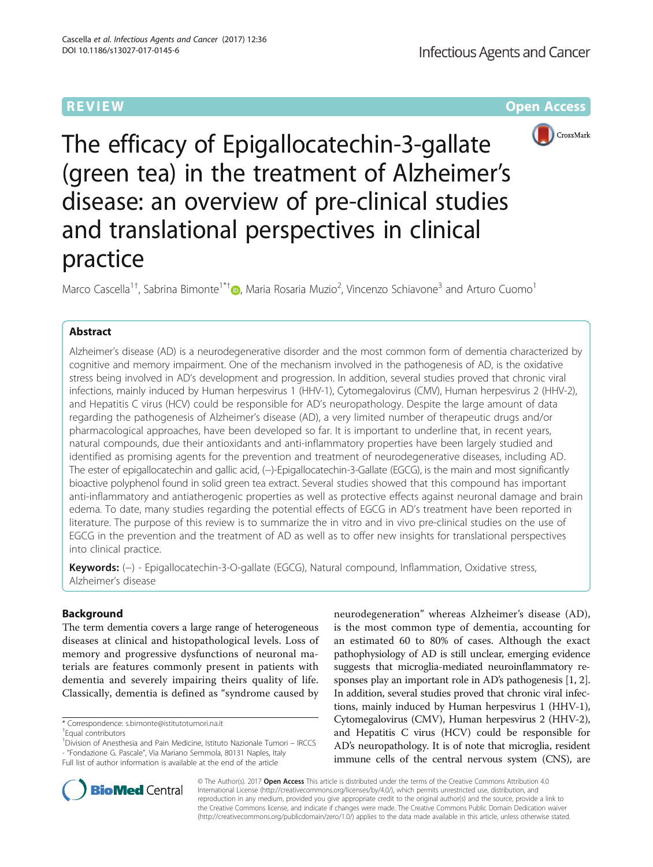**REVIEW CONTROL** CONTROL CONTROL CONTROL CONTROL CONTROL CONTROL CONTROL CONTROL CONTROL CONTROL CONTROL CONTROL CONTROL CONTROL CONTROL CONTROL CONTROL CONTROL CONTROL CONTROL CONTROL CONTROL CONTROL CONTROL CONTROL CONTR



The efficacy of Epigallocatechin-3-gallate (green tea) in the treatment of Alzheimer's disease: an overview of pre-clinical studies and translational perspectives in clinical practice

Marco Cascella<sup>1†</sup>, Sabrina Bimonte<sup>1\*†</sup> (**)**, Maria Rosaria Muzio<sup>2</sup>, Vincenzo Schiavone<sup>3</sup> and Arturo Cuomo<sup>1</sup>

# Abstract

Alzheimer's disease (AD) is a neurodegenerative disorder and the most common form of dementia characterized by cognitive and memory impairment. One of the mechanism involved in the pathogenesis of AD, is the oxidative stress being involved in AD's development and progression. In addition, several studies proved that chronic viral infections, mainly induced by Human herpesvirus 1 (HHV-1), Cytomegalovirus (CMV), Human herpesvirus 2 (HHV-2), and Hepatitis C virus (HCV) could be responsible for AD's neuropathology. Despite the large amount of data regarding the pathogenesis of Alzheimer's disease (AD), a very limited number of therapeutic drugs and/or pharmacological approaches, have been developed so far. It is important to underline that, in recent years, natural compounds, due their antioxidants and anti-inflammatory properties have been largely studied and identified as promising agents for the prevention and treatment of neurodegenerative diseases, including AD. The ester of epigallocatechin and gallic acid, (-)-Epigallocatechin-3-Gallate (EGCG), is the main and most significantly bioactive polyphenol found in solid green tea extract. Several studies showed that this compound has important anti-inflammatory and antiatherogenic properties as well as protective effects against neuronal damage and brain edema. To date, many studies regarding the potential effects of EGCG in AD's treatment have been reported in literature. The purpose of this review is to summarize the in vitro and in vivo pre-clinical studies on the use of EGCG in the prevention and the treatment of AD as well as to offer new insights for translational perspectives into clinical practice.

Keywords: (-) - Epigallocatechin-3-O-gallate (EGCG), Natural compound, Inflammation, Oxidative stress, Alzheimer's disease

# Background

The term dementia covers a large range of heterogeneous diseases at clinical and histopathological levels. Loss of memory and progressive dysfunctions of neuronal materials are features commonly present in patients with dementia and severely impairing theirs quality of life. Classically, dementia is defined as "syndrome caused by

\* Correspondence: [s.bimonte@istitutotumori.na.it](mailto:s.bimonte@istitutotumori.na.it) †

Equal contributors

neurodegeneration" whereas Alzheimer's disease (AD), is the most common type of dementia, accounting for an estimated 60 to 80% of cases. Although the exact pathophysiology of AD is still unclear, emerging evidence suggests that microglia-mediated neuroinflammatory responses play an important role in AD's pathogenesis [\[1, 2](#page-5-0)]. In addition, several studies proved that chronic viral infections, mainly induced by Human herpesvirus 1 (HHV-1), Cytomegalovirus (CMV), Human herpesvirus 2 (HHV-2), and Hepatitis C virus (HCV) could be responsible for AD's neuropathology. It is of note that microglia, resident immune cells of the central nervous system (CNS), are



© The Author(s). 2017 **Open Access** This article is distributed under the terms of the Creative Commons Attribution 4.0 International License [\(http://creativecommons.org/licenses/by/4.0/](http://creativecommons.org/licenses/by/4.0/)), which permits unrestricted use, distribution, and reproduction in any medium, provided you give appropriate credit to the original author(s) and the source, provide a link to the Creative Commons license, and indicate if changes were made. The Creative Commons Public Domain Dedication waiver [\(http://creativecommons.org/publicdomain/zero/1.0/](http://creativecommons.org/publicdomain/zero/1.0/)) applies to the data made available in this article, unless otherwise stated.

<sup>&</sup>lt;sup>1</sup> Division of Anesthesia and Pain Medicine, Istituto Nazionale Tumori – IRCCS - "Fondazione G. Pascale", Via Mariano Semmola, 80131 Naples, Italy Full list of author information is available at the end of the article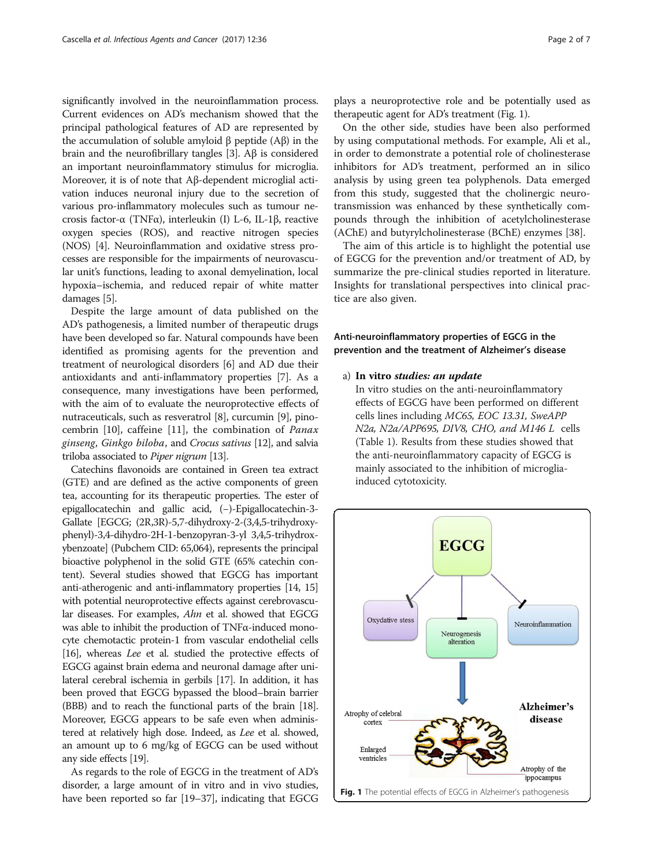significantly involved in the neuroinflammation process. Current evidences on AD's mechanism showed that the principal pathological features of AD are represented by the accumulation of soluble amyloid β peptide (Aβ) in the brain and the neurofibrillary tangles [\[3](#page-5-0)]. Aβ is considered an important neuroinflammatory stimulus for microglia. Moreover, it is of note that Aβ-dependent microglial activation induces neuronal injury due to the secretion of various pro-inflammatory molecules such as tumour necrosis factor-α (TNFα), interleukin (I) L-6, IL-1β, reactive oxygen species (ROS), and reactive nitrogen species (NOS) [\[4\]](#page-5-0). Neuroinflammation and oxidative stress processes are responsible for the impairments of neurovascular unit's functions, leading to axonal demyelination, local hypoxia–ischemia, and reduced repair of white matter damages [[5\]](#page-5-0).

Despite the large amount of data published on the AD's pathogenesis, a limited number of therapeutic drugs have been developed so far. Natural compounds have been identified as promising agents for the prevention and treatment of neurological disorders [\[6](#page-5-0)] and AD due their antioxidants and anti-inflammatory properties [[7\]](#page-5-0). As a consequence, many investigations have been performed, with the aim of to evaluate the neuroprotective effects of nutraceuticals, such as resveratrol [[8](#page-5-0)], curcumin [\[9\]](#page-5-0), pinocembrin [\[10\]](#page-5-0), caffeine [\[11](#page-5-0)], the combination of Panax ginseng, Ginkgo biloba, and Crocus sativus [\[12](#page-5-0)], and salvia triloba associated to Piper nigrum [\[13](#page-5-0)].

Catechins flavonoids are contained in Green tea extract (GTE) and are defined as the active components of green tea, accounting for its therapeutic properties. The ester of epigallocatechin and gallic acid, (-)-Epigallocatechin-3-Gallate [EGCG; (2R,3R)-5,7-dihydroxy-2-(3,4,5-trihydroxyphenyl)-3,4-dihydro-2H-1-benzopyran-3-yl 3,4,5-trihydroxybenzoate] (Pubchem CID: 65,064), represents the principal bioactive polyphenol in the solid GTE (65% catechin content). Several studies showed that EGCG has important anti-atherogenic and anti-inflammatory properties [[14](#page-5-0), [15](#page-5-0)] with potential neuroprotective effects against cerebrovascular diseases. For examples, Ahn et al. showed that EGCG was able to inhibit the production of TNFα-induced monocyte chemotactic protein-1 from vascular endothelial cells [[16](#page-6-0)], whereas Lee et al. studied the protective effects of EGCG against brain edema and neuronal damage after unilateral cerebral ischemia in gerbils [\[17\]](#page-6-0). In addition, it has been proved that EGCG bypassed the blood–brain barrier (BBB) and to reach the functional parts of the brain [\[18](#page-6-0)]. Moreover, EGCG appears to be safe even when administered at relatively high dose. Indeed, as Lee et al. showed, an amount up to 6 mg/kg of EGCG can be used without any side effects [\[19\]](#page-6-0).

As regards to the role of EGCG in the treatment of AD's disorder, a large amount of in vitro and in vivo studies, have been reported so far [\[19](#page-6-0)–[37](#page-6-0)], indicating that EGCG

plays a neuroprotective role and be potentially used as therapeutic agent for AD's treatment (Fig. 1).

On the other side, studies have been also performed by using computational methods. For example, Ali et al., in order to demonstrate a potential role of cholinesterase inhibitors for AD's treatment, performed an in silico analysis by using green tea polyphenols. Data emerged from this study, suggested that the cholinergic neurotransmission was enhanced by these synthetically compounds through the inhibition of acetylcholinesterase (AChE) and butyrylcholinesterase (BChE) enzymes [\[38\]](#page-6-0).

The aim of this article is to highlight the potential use of EGCG for the prevention and/or treatment of AD, by summarize the pre-clinical studies reported in literature. Insights for translational perspectives into clinical practice are also given.

## Anti-neuroinflammatory properties of EGCG in the prevention and the treatment of Alzheimer's disease

### a) In vitro studies: an update

In vitro studies on the anti-neuroinflammatory effects of EGCG have been performed on different cells lines including MC65, EOC 13.31, SweAPP N2a, N2a/APP695, DIV8, CHO, and M146 L cells (Table [1\)](#page-2-0). Results from these studies showed that the anti-neuroinflammatory capacity of EGCG is mainly associated to the inhibition of microgliainduced cytotoxicity.

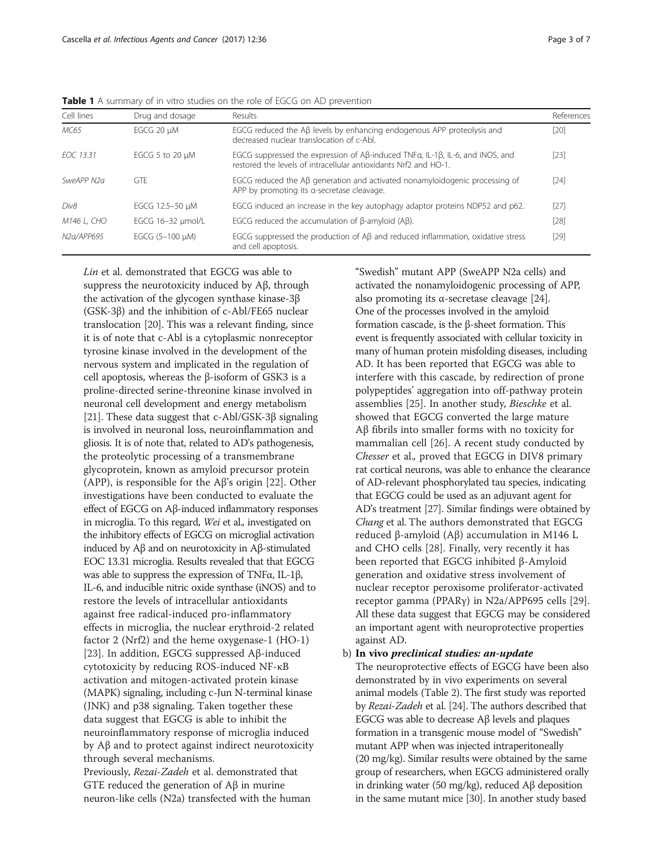| Cell lines              | Drug and dosage   | Results                                                                                                                                                                  | References |
|-------------------------|-------------------|--------------------------------------------------------------------------------------------------------------------------------------------------------------------------|------------|
| MC65                    | EGCG 20 µM        | EGCG reduced the $AB$ levels by enhancing endogenous APP proteolysis and<br>decreased nuclear translocation of c-Abl.                                                    | $[20]$     |
| FOC 13.31               | EGCG 5 to 20 µM   | EGCG suppressed the expression of $\mathsf{AB}\text{-induced TNFa, IL-1}\beta$ , IL-6, and iNOS, and<br>restored the levels of intracellular antioxidants Nrf2 and HO-1. | $[23]$     |
| SweAPP N2a              | <b>GTF</b>        | EGCG reduced the AB generation and activated nonamyloidogenic processing of<br>APP by promoting its a-secretase cleavage.                                                | $[24]$     |
| Div8                    | EGCG 12.5-50 µM   | EGCG induced an increase in the key autophagy adaptor proteins NDP52 and p62.                                                                                            | $[27]$     |
| M146 L, CHO             | EGCG 16-32 µmol/L | EGCG reduced the accumulation of $\beta$ -amyloid (A $\beta$ ).                                                                                                          | $[28]$     |
| N <sub>2a</sub> /APP695 | EGCG (5-100 µM)   | EGCG suppressed the production of $\mathsf{AB}$ and reduced inflammation, oxidative stress<br>and cell apoptosis.                                                        | $[29]$     |

<span id="page-2-0"></span>Table 1 A summary of in vitro studies on the role of EGCG on AD prevention

Lin et al. demonstrated that EGCG was able to suppress the neurotoxicity induced by Aβ, through the activation of the glycogen synthase kinase-3β (GSK-3β) and the inhibition of c-Abl/FE65 nuclear translocation [[20](#page-6-0)]. This was a relevant finding, since it is of note that c-Abl is a cytoplasmic nonreceptor tyrosine kinase involved in the development of the nervous system and implicated in the regulation of cell apoptosis, whereas the β-isoform of GSK3 is a proline-directed serine-threonine kinase involved in neuronal cell development and energy metabolism [\[21](#page-6-0)]. These data suggest that c-Abl/GSK-3β signaling is involved in neuronal loss, neuroinflammation and gliosis. It is of note that, related to AD's pathogenesis, the proteolytic processing of a transmembrane glycoprotein, known as amyloid precursor protein (APP), is responsible for the  $\mathsf{A}\beta$ 's origin [[22\]](#page-6-0). Other investigations have been conducted to evaluate the effect of EGCG on Aβ-induced inflammatory responses in microglia. To this regard, Wei et al., investigated on the inhibitory effects of EGCG on microglial activation induced by Aβ and on neurotoxicity in Aβ-stimulated EOC 13.31 microglia. Results revealed that that EGCG was able to suppress the expression of TNFα, IL-1β, IL-6, and inducible nitric oxide synthase (iNOS) and to restore the levels of intracellular antioxidants against free radical-induced pro-inflammatory effects in microglia, the nuclear erythroid-2 related factor 2 (Nrf2) and the heme oxygenase-1 (HO-1) [[23](#page-6-0)]. In addition, EGCG suppressed Aβ-induced cytotoxicity by reducing ROS-induced NF-κB activation and mitogen-activated protein kinase (MAPK) signaling, including c-Jun N-terminal kinase (JNK) and p38 signaling. Taken together these data suggest that EGCG is able to inhibit the neuroinflammatory response of microglia induced by Aβ and to protect against indirect neurotoxicity through several mechanisms. Previously, Rezai-Zadeh et al. demonstrated that

GTE reduced the generation of Aβ in murine neuron-like cells (N2a) transfected with the human

"Swedish" mutant APP (SweAPP N2a cells) and activated the nonamyloidogenic processing of APP, also promoting its  $\alpha$ -secretase cleavage [\[24\]](#page-6-0). One of the processes involved in the amyloid formation cascade, is the β-sheet formation. This event is frequently associated with cellular toxicity in many of human protein misfolding diseases, including AD. It has been reported that EGCG was able to interfere with this cascade, by redirection of prone polypeptides' aggregation into off-pathway protein assemblies [\[25](#page-6-0)]. In another study, Bieschke et al. showed that EGCG converted the large mature Aβ fibrils into smaller forms with no toxicity for mammalian cell [[26\]](#page-6-0). A recent study conducted by Chesser et al., proved that EGCG in DIV8 primary rat cortical neurons, was able to enhance the clearance of AD-relevant phosphorylated tau species, indicating that EGCG could be used as an adjuvant agent for AD's treatment [\[27\]](#page-6-0). Similar findings were obtained by Chang et al. The authors demonstrated that EGCG reduced β-amyloid (Aβ) accumulation in M146 L and CHO cells [\[28](#page-6-0)]. Finally, very recently it has been reported that EGCG inhibited β-Amyloid generation and oxidative stress involvement of nuclear receptor peroxisome proliferator-activated receptor gamma (PPARγ) in N2a/APP695 cells [[29\]](#page-6-0). All these data suggest that EGCG may be considered an important agent with neuroprotective properties against AD.

### b) In vivo preclinical studies: an-update

The neuroprotective effects of EGCG have been also demonstrated by in vivo experiments on several animal models (Table [2](#page-3-0)). The first study was reported by Rezai-Zadeh et al. [\[24\]](#page-6-0). The authors described that EGCG was able to decrease Aβ levels and plaques formation in a transgenic mouse model of "Swedish" mutant APP when was injected intraperitoneally (20 mg/kg). Similar results were obtained by the same group of researchers, when EGCG administered orally in drinking water (50 mg/kg), reduced Aβ deposition in the same mutant mice [\[30](#page-6-0)]. In another study based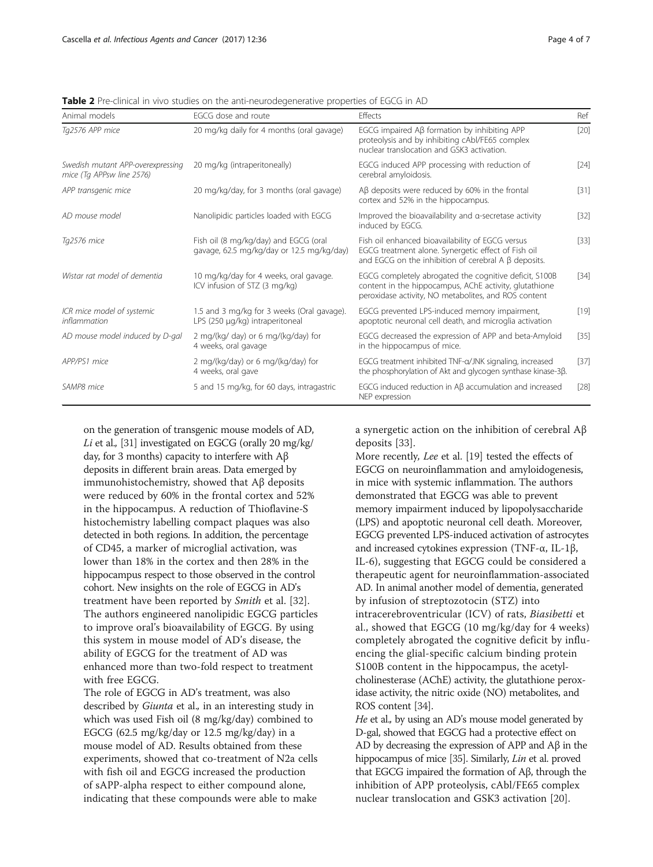| Animal models                                                  | EGCG dose and route                                                                | Effects                                                                                                                                                                  | Ref    |  |  |  |  |
|----------------------------------------------------------------|------------------------------------------------------------------------------------|--------------------------------------------------------------------------------------------------------------------------------------------------------------------------|--------|--|--|--|--|
| Tg2576 APP mice                                                | 20 mg/kg daily for 4 months (oral gavage)                                          | $EGCG$ impaired $AB$ formation by inhibiting $APP$<br>proteolysis and by inhibiting cAbl/FE65 complex<br>nuclear translocation and GSK3 activation.                      | $[20]$ |  |  |  |  |
| Swedish mutant APP-overexpressing<br>mice (Tg APPsw line 2576) | 20 mg/kg (intraperitoneally)                                                       | EGCG induced APP processing with reduction of<br>cerebral amyloidosis.                                                                                                   | $[24]$ |  |  |  |  |
| APP transgenic mice                                            | 20 mg/kg/day, for 3 months (oral gavage)                                           | $\text{AB}$ deposits were reduced by 60% in the frontal<br>cortex and 52% in the hippocampus.                                                                            | $[31]$ |  |  |  |  |
| AD mouse model                                                 | Nanolipidic particles loaded with EGCG                                             | Improved the bioavailability and a-secretase activity<br>induced by EGCG.                                                                                                | $[32]$ |  |  |  |  |
| Tg2576 mice                                                    | Fish oil (8 mg/kg/day) and EGCG (oral<br>gavage, 62.5 mg/kg/day or 12.5 mg/kg/day) | Fish oil enhanced bioavailability of EGCG versus<br>EGCG treatment alone. Synergetic effect of Fish oil<br>and EGCG on the inhibition of cerebral $A \beta$ deposits.    | $[33]$ |  |  |  |  |
| Wistar rat model of dementia                                   | 10 mg/kg/day for 4 weeks, oral gavage.<br>ICV infusion of STZ (3 mg/kg)            | EGCG completely abrogated the cognitive deficit, S100B<br>content in the hippocampus, AChE activity, glutathione<br>peroxidase activity, NO metabolites, and ROS content | $[34]$ |  |  |  |  |
| ICR mice model of systemic<br>inflammation                     | 1.5 and 3 mg/kg for 3 weeks (Oral gavage).<br>LPS (250 µg/kg) intraperitoneal      | EGCG prevented LPS-induced memory impairment,<br>apoptotic neuronal cell death, and microglia activation                                                                 | $[19]$ |  |  |  |  |
| AD mouse model induced by D-gal                                | 2 mg/(kg/ day) or 6 mg/(kg/day) for<br>4 weeks, oral gavage                        | EGCG decreased the expression of APP and beta-Amyloid<br>in the hippocampus of mice.                                                                                     | $[35]$ |  |  |  |  |
| APP/PS1 mice                                                   | 2 mg/(kg/day) or 6 mg/(kg/day) for<br>4 weeks, oral gave                           | EGCG treatment inhibited TNF-a/JNK signaling, increased<br>the phosphorylation of Akt and glycogen synthase kinase-3β.                                                   | [37]   |  |  |  |  |
| SAMP8 mice                                                     | 5 and 15 mg/kg, for 60 days, intragastric                                          | EGCG induced reduction in Aß accumulation and increased<br>NEP expression                                                                                                | $[28]$ |  |  |  |  |

<span id="page-3-0"></span>Table 2 Pre-clinical in vivo studies on the anti-neurodegenerative properties of EGCG in AD

on the generation of transgenic mouse models of AD, Li et al., [[31](#page-6-0)] investigated on EGCG (orally 20 mg/kg/ day, for 3 months) capacity to interfere with Aβ deposits in different brain areas. Data emerged by immunohistochemistry, showed that Aβ deposits were reduced by 60% in the frontal cortex and 52% in the hippocampus. A reduction of Thioflavine-S histochemistry labelling compact plaques was also detected in both regions. In addition, the percentage of CD45, a marker of microglial activation, was lower than 18% in the cortex and then 28% in the hippocampus respect to those observed in the control cohort. New insights on the role of EGCG in AD's treatment have been reported by Smith et al. [\[32](#page-6-0)]. The authors engineered nanolipidic EGCG particles to improve oral's bioavailability of EGCG. By using this system in mouse model of AD's disease, the ability of EGCG for the treatment of AD was enhanced more than two-fold respect to treatment with free EGCG.

The role of EGCG in AD's treatment, was also described by *Giunta* et al., in an interesting study in which was used Fish oil (8 mg/kg/day) combined to EGCG (62.5 mg/kg/day or 12.5 mg/kg/day) in a mouse model of AD. Results obtained from these experiments, showed that co-treatment of N2a cells with fish oil and EGCG increased the production of sAPP-alpha respect to either compound alone, indicating that these compounds were able to make a synergetic action on the inhibition of cerebral Aβ deposits [[33\]](#page-6-0).

More recently, Lee et al. [\[19\]](#page-6-0) tested the effects of EGCG on neuroinflammation and amyloidogenesis, in mice with systemic inflammation. The authors demonstrated that EGCG was able to prevent memory impairment induced by lipopolysaccharide (LPS) and apoptotic neuronal cell death. Moreover, EGCG prevented LPS-induced activation of astrocytes and increased cytokines expression (TNF-α, IL-1β, IL-6), suggesting that EGCG could be considered a therapeutic agent for neuroinflammation-associated AD. In animal another model of dementia, generated by infusion of streptozotocin (STZ) into intracerebroventricular (ICV) of rats, Biasibetti et al., showed that EGCG (10 mg/kg/day for 4 weeks) completely abrogated the cognitive deficit by influencing the glial-specific calcium binding protein S100B content in the hippocampus, the acetylcholinesterase (AChE) activity, the glutathione peroxidase activity, the nitric oxide (NO) metabolites, and ROS content [[34](#page-6-0)].

He et al., by using an AD's mouse model generated by D-gal, showed that EGCG had a protective effect on AD by decreasing the expression of APP and Aβ in the hippocampus of mice [[35](#page-6-0)]. Similarly, *Lin* et al. proved that EGCG impaired the formation of Aβ, through the inhibition of APP proteolysis, cAbl/FE65 complex nuclear translocation and GSK3 activation [[20\]](#page-6-0).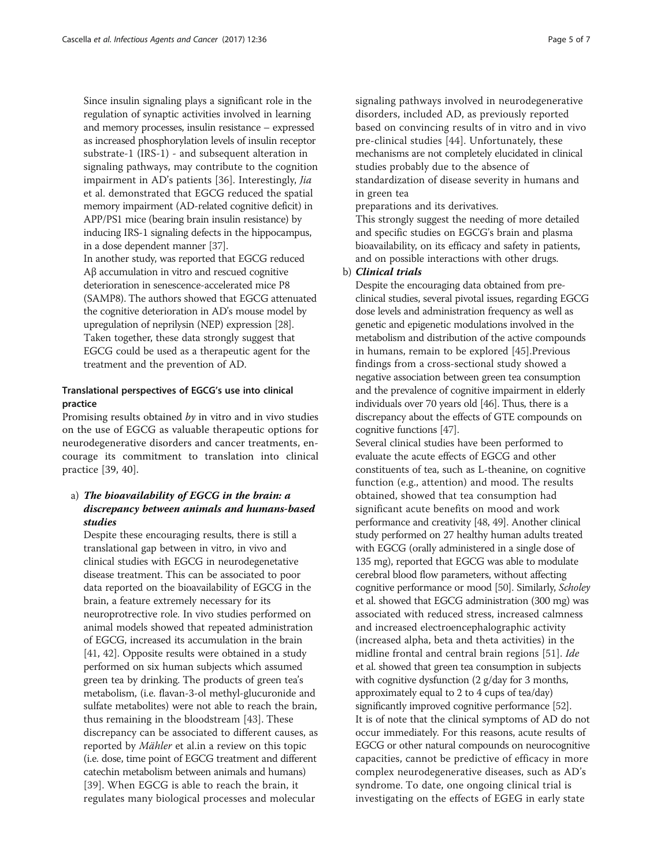Since insulin signaling plays a significant role in the regulation of synaptic activities involved in learning and memory processes, insulin resistance – expressed as increased phosphorylation levels of insulin receptor substrate-1 (IRS-1) - and subsequent alteration in signaling pathways, may contribute to the cognition impairment in AD's patients [\[36](#page-6-0)]. Interestingly, Jia et al. demonstrated that EGCG reduced the spatial memory impairment (AD-related cognitive deficit) in APP/PS1 mice (bearing brain insulin resistance) by inducing IRS-1 signaling defects in the hippocampus, in a dose dependent manner [[37](#page-6-0)]. In another study, was reported that EGCG reduced Aβ accumulation in vitro and rescued cognitive deterioration in senescence-accelerated mice P8 (SAMP8). The authors showed that EGCG attenuated the cognitive deterioration in AD's mouse model by upregulation of neprilysin (NEP) expression [[28](#page-6-0)]. Taken together, these data strongly suggest that EGCG could be used as a therapeutic agent for the treatment and the prevention of AD.

## Translational perspectives of EGCG's use into clinical practice

Promising results obtained  $by$  in vitro and in vivo studies on the use of EGCG as valuable therapeutic options for neurodegenerative disorders and cancer treatments, encourage its commitment to translation into clinical practice [[39, 40](#page-6-0)].

# a) The bioavailability of EGCG in the brain: a discrepancy between animals and humans-based studies

Despite these encouraging results, there is still a translational gap between in vitro, in vivo and clinical studies with EGCG in neurodegenetative disease treatment. This can be associated to poor data reported on the bioavailability of EGCG in the brain, a feature extremely necessary for its neuroprotrective role. In vivo studies performed on animal models showed that repeated administration of EGCG, increased its accumulation in the brain [\[41](#page-6-0), [42\]](#page-6-0). Opposite results were obtained in a study performed on six human subjects which assumed green tea by drinking. The products of green tea's metabolism, (i.e. flavan-3-ol methyl-glucuronide and sulfate metabolites) were not able to reach the brain, thus remaining in the bloodstream [\[43](#page-6-0)]. These discrepancy can be associated to different causes, as reported by Mähler et al.in a review on this topic (i.e. dose, time point of EGCG treatment and different catechin metabolism between animals and humans) [[39\]](#page-6-0). When EGCG is able to reach the brain, it regulates many biological processes and molecular

signaling pathways involved in neurodegenerative disorders, included AD, as previously reported based on convincing results of in vitro and in vivo pre-clinical studies [[44\]](#page-6-0). Unfortunately, these mechanisms are not completely elucidated in clinical studies probably due to the absence of standardization of disease severity in humans and in green tea

preparations and its derivatives.

This strongly suggest the needing of more detailed and specific studies on EGCG's brain and plasma bioavailability, on its efficacy and safety in patients, and on possible interactions with other drugs.

### b) Clinical trials

Despite the encouraging data obtained from preclinical studies, several pivotal issues, regarding EGCG dose levels and administration frequency as well as genetic and epigenetic modulations involved in the metabolism and distribution of the active compounds in humans, remain to be explored [[45\]](#page-6-0).Previous findings from a cross-sectional study showed a negative association between green tea consumption and the prevalence of cognitive impairment in elderly individuals over 70 years old [\[46\]](#page-6-0). Thus, there is a discrepancy about the effects of GTE compounds on cognitive functions [\[47\]](#page-6-0).

Several clinical studies have been performed to evaluate the acute effects of EGCG and other constituents of tea, such as L-theanine, on cognitive function (e.g., attention) and mood. The results obtained, showed that tea consumption had significant acute benefits on mood and work performance and creativity [\[48,](#page-6-0) [49\]](#page-6-0). Another clinical study performed on 27 healthy human adults treated with EGCG (orally administered in a single dose of 135 mg), reported that EGCG was able to modulate cerebral blood flow parameters, without affecting cognitive performance or mood [\[50\]](#page-6-0). Similarly, Scholey et al. showed that EGCG administration (300 mg) was associated with reduced stress, increased calmness and increased electroencephalographic activity (increased alpha, beta and theta activities) in the midline frontal and central brain regions [[51\]](#page-6-0). Ide et al. showed that green tea consumption in subjects with cognitive dysfunction (2 g/day for 3 months, approximately equal to 2 to 4 cups of tea/day) significantly improved cognitive performance [\[52](#page-6-0)]. It is of note that the clinical symptoms of AD do not occur immediately. For this reasons, acute results of EGCG or other natural compounds on neurocognitive capacities, cannot be predictive of efficacy in more complex neurodegenerative diseases, such as AD's syndrome. To date, one ongoing clinical trial is investigating on the effects of EGEG in early state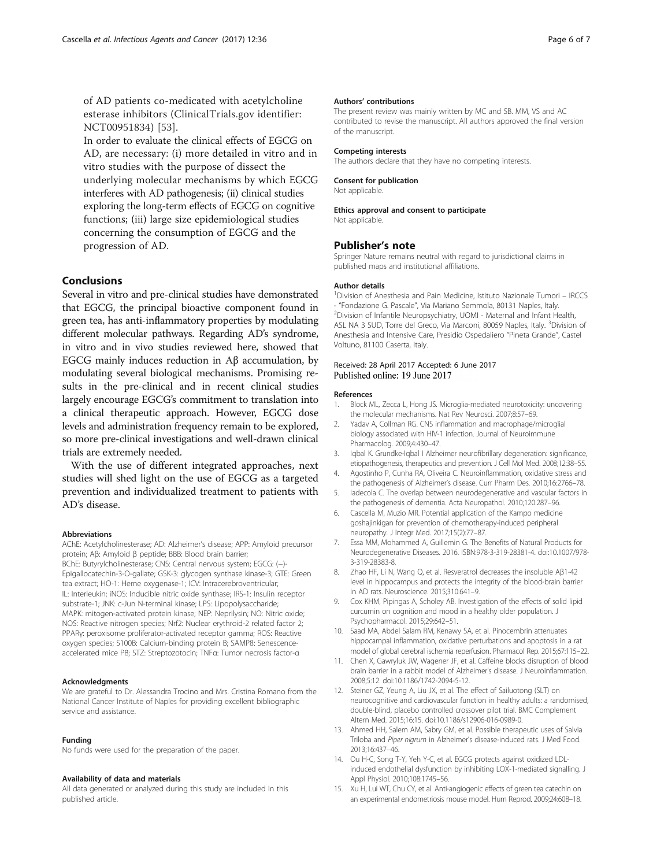<span id="page-5-0"></span>of AD patients co-medicated with acetylcholine esterase inhibitors ([ClinicalTrials.gov](http://clinicaltrials.gov) identifier: [NCT00951834](https://clinicaltrials.gov/ct2/show/NCT00951834)) [[53](#page-6-0)].

In order to evaluate the clinical effects of EGCG on AD, are necessary: (i) more detailed in vitro and in vitro studies with the purpose of dissect the underlying molecular mechanisms by which EGCG interferes with AD pathogenesis; (ii) clinical studies exploring the long-term effects of EGCG on cognitive functions; (iii) large size epidemiological studies concerning the consumption of EGCG and the progression of AD.

## Conclusions

Several in vitro and pre-clinical studies have demonstrated that EGCG, the principal bioactive component found in green tea, has anti-inflammatory properties by modulating different molecular pathways. Regarding AD's syndrome, in vitro and in vivo studies reviewed here, showed that EGCG mainly induces reduction in Aβ accumulation, by modulating several biological mechanisms. Promising results in the pre-clinical and in recent clinical studies largely encourage EGCG's commitment to translation into a clinical therapeutic approach. However, EGCG dose levels and administration frequency remain to be explored, so more pre-clinical investigations and well-drawn clinical trials are extremely needed.

With the use of different integrated approaches, next studies will shed light on the use of EGCG as a targeted prevention and individualized treatment to patients with AD's disease.

#### Abbreviations

AChE: Acetylcholinesterase; AD: Alzheimer's disease; APP: Amyloid precursor protein; Aβ: Amyloid β peptide; BBB: Blood brain barrier; BChE: Butyrylcholinesterase; CNS: Central nervous system; EGCG: (−)- Epigallocatechin-3-O-gallate; GSK-3: glycogen synthase kinase-3; GTE: Green tea extract; HO-1: Heme oxygenase-1; ICV: Intracerebroventricular; IL: Interleukin; iNOS: Inducible nitric oxide synthase; IRS-1: Insulin receptor substrate-1; JNK: c-Jun N-terminal kinase; LPS: Lipopolysaccharide; MAPK: mitogen-activated protein kinase; NEP: Neprilysin; NO: Nitric oxide; NOS: Reactive nitrogen species; Nrf2: Nuclear erythroid-2 related factor 2; PPARγ: peroxisome proliferator-activated receptor gamma; ROS: Reactive oxygen species; S100B: Calcium-binding protein B; SAMP8: Senescenceaccelerated mice P8; STZ: Streptozotocin; TNFα: Tumor necrosis factor-α

#### Acknowledgments

We are grateful to Dr. Alessandra Trocino and Mrs. Cristina Romano from the National Cancer Institute of Naples for providing excellent bibliographic service and assistance.

#### Funding

No funds were used for the preparation of the paper.

#### Availability of data and materials

All data generated or analyzed during this study are included in this published article.

#### Authors' contributions

The present review was mainly written by MC and SB. MM, VS and AC contributed to revise the manuscript. All authors approved the final version of the manuscript.

#### Competing interests

The authors declare that they have no competing interests.

#### Consent for publication

Not applicable

#### Ethics approval and consent to participate

Not applicable.

### Publisher's note

Springer Nature remains neutral with regard to jurisdictional claims in published maps and institutional affiliations.

#### Author details

<sup>1</sup> Division of Anesthesia and Pain Medicine, Istituto Nazionale Tumori - IRCCS - "Fondazione G. Pascale", Via Mariano Semmola, 80131 Naples, Italy. Division of Infantile Neuropsychiatry, UOMI - Maternal and Infant Health, ASL NA 3 SUD, Torre del Greco, Via Marconi, 80059 Naples, Italy. <sup>3</sup>Division of Anesthesia and Intensive Care, Presidio Ospedaliero "Pineta Grande", Castel Voltuno, 81100 Caserta, Italy.

#### Received: 28 April 2017 Accepted: 6 June 2017 Published online: 19 June 2017

#### References

- 1. Block ML, Zecca L, Hong JS. Microglia-mediated neurotoxicity: uncovering the molecular mechanisms. Nat Rev Neurosci. 2007;8:57–69.
- 2. Yadav A, Collman RG. CNS inflammation and macrophage/microglial biology associated with HIV-1 infection. Journal of Neuroimmune Pharmacolog. 2009;4:430–47.
- 3. Iqbal K. Grundke-Iqbal I Alzheimer neurofibrillary degeneration: significance, etiopathogenesis, therapeutics and prevention. J Cell Mol Med. 2008;12:38–55.
- 4. Agostinho P, Cunha RA, Oliveira C. Neuroinflammation, oxidative stress and the pathogenesis of Alzheimer's disease. Curr Pharm Des. 2010;16:2766–78.
- 5. Iadecola C. The overlap between neurodegenerative and vascular factors in the pathogenesis of dementia. Acta Neuropathol. 2010;120:287–96.
- 6. Cascella M, Muzio MR. Potential application of the Kampo medicine goshajinkigan for prevention of chemotherapy-induced peripheral neuropathy. J Integr Med. 2017;15(2):77–87.
- 7. Essa MM, Mohammed A, Guillemin G. The Benefits of Natural Products for Neurodegenerative Diseases. 2016. ISBN:978-3-319-28381-4. doi[:10.1007/978-](http://dx.doi.org/10.1007/978-3-319-28383-8) [3-319-28383-8](http://dx.doi.org/10.1007/978-3-319-28383-8).
- 8. Zhao HF, Li N, Wang Q, et al. Resveratrol decreases the insoluble Aβ1-42 level in hippocampus and protects the integrity of the blood-brain barrier in AD rats. Neuroscience. 2015;310:641–9.
- 9. Cox KHM, Pipingas A, Scholey AB. Investigation of the effects of solid lipid curcumin on cognition and mood in a healthy older population. J Psychopharmacol. 2015;29:642–51.
- 10. Saad MA, Abdel Salam RM, Kenawy SA, et al. Pinocembrin attenuates hippocampal inflammation, oxidative perturbations and apoptosis in a rat model of global cerebral ischemia reperfusion. Pharmacol Rep. 2015;67:115–22.
- 11. Chen X, Gawryluk JW, Wagener JF, et al. Caffeine blocks disruption of blood brain barrier in a rabbit model of Alzheimer's disease. J Neuroinflammation. 2008;5:12. doi:[10.1186/1742-2094-5-12.](http://dx.doi.org/10.1186/1742-2094-5-12)
- 12. Steiner GZ, Yeung A, Liu JX, et al. The effect of Sailuotong (SLT) on neurocognitive and cardiovascular function in healthy adults: a randomised, double-blind, placebo controlled crossover pilot trial. BMC Complement Altern Med. 2015;16:15. doi[:10.1186/s12906-016-0989-0.](http://dx.doi.org/10.1186/s12906-016-0989-0)
- 13. Ahmed HH, Salem AM, Sabry GM, et al. Possible therapeutic uses of Salvia Triloba and Piper nigrum in Alzheimer's disease-induced rats. J Med Food. 2013;16:437–46.
- 14. Ou H-C, Song T-Y, Yeh Y-C, et al. EGCG protects against oxidized LDLinduced endothelial dysfunction by inhibiting LOX-1-mediated signalling. J Appl Physiol. 2010;108:1745–56.
- 15. Xu H, Lui WT, Chu CY, et al. Anti-angiogenic effects of green tea catechin on an experimental endometriosis mouse model. Hum Reprod. 2009;24:608–18.